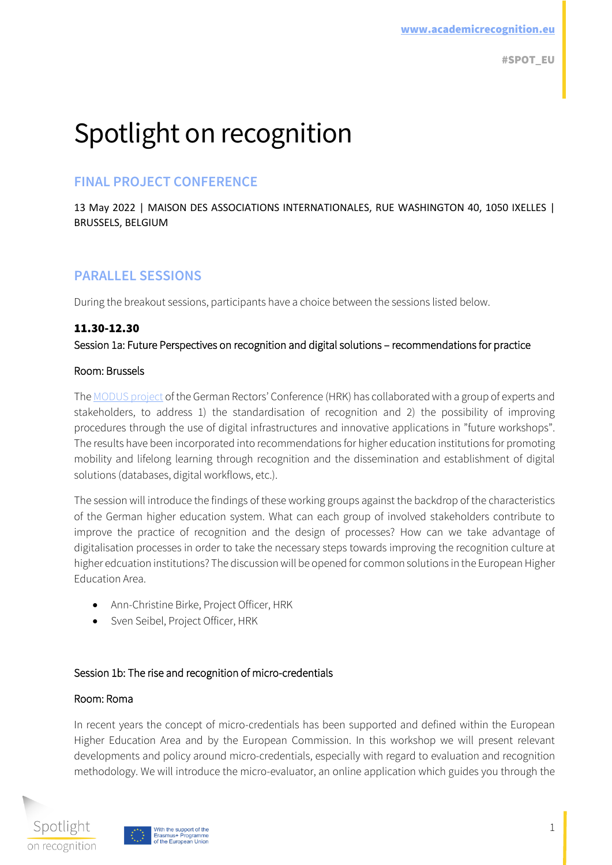# Spotlight on recognition

# **FINAL PROJECT CONFERENCE**

13 May 2022 | MAISON DES ASSOCIATIONS INTERNATIONALES, RUE WASHINGTON 40, 1050 IXELLES | BRUSSELS, BELGIUM

# **PARALLEL SESSIONS**

During the breakout sessions, participants have a choice between the sessions listed below.

## 11.30-12.30

Session 1a: Future Perspectives on recognition and digital solutions – recommendations for practice

### Room: Brussels

The [MODUS project](https://www.hrk-modus.de/en) of the German Rectors' Conference (HRK) has collaborated with a group of experts and stakeholders, to address 1) the standardisation of recognition and 2) the possibility of improving procedures through the use of digital infrastructures and innovative applications in "future workshops". The results have been incorporated into recommendations for higher education institutions for promoting mobility and lifelong learning through recognition and the dissemination and establishment of digital solutions (databases, digital workflows, etc.).

The session will introduce the findings of these working groups against the backdrop of the characteristics of the German higher education system. What can each group of involved stakeholders contribute to improve the practice of recognition and the design of processes? How can we take advantage of digitalisation processes in order to take the necessary steps towards improving the recognition culture at higher edcuation institutions? The discussion will be opened for common solutions in the European Higher Education Area.

- Ann-Christine Birke, Project Officer, HRK
- Sven Seibel, Project Officer, HRK

### Session 1b: The rise and recognition of micro-credentials

### Room: Roma

In recent years the concept of micro-credentials has been supported and defined within the European Higher Education Area and by the European Commission. In this workshop we will present relevant developments and policy around micro-credentials, especially with regard to evaluation and recognition methodology. We will introduce the micro-evaluator, an online application which guides you through the